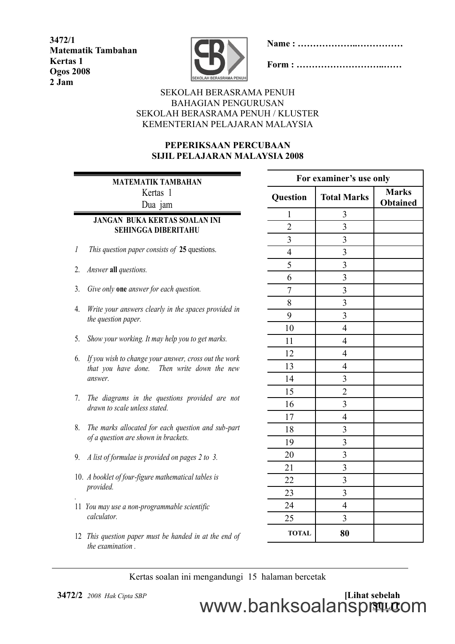**3472/1 Matematik Tambahan Kertas 1 Ogos 2008 2 Jam**



# SEKOLAH BERASRAMA PENUH BAHAGIAN PENGURUSAN SEKOLAH BERASRAMA PENUH / KLUSTER KEMENTERIAN PELAJARAN MALAYSIA

# **PEPERIKSAAN PERCUBAAN SIJIL PELAJARAN MALAYSIA 2008**

|    | <b>MATEMATIK TAMBAHAN</b>                                                                                          | For examiner's use only |                    |                          |
|----|--------------------------------------------------------------------------------------------------------------------|-------------------------|--------------------|--------------------------|
|    | Kertas 1<br>Dua jam                                                                                                | Question                | <b>Total Marks</b> | <b>Marks</b><br>Obtained |
|    | <b>JANGAN BUKA KERTAS SOALAN INI</b>                                                                               | $\mathbf{1}$            | 3                  |                          |
|    | SEHINGGA DIBERITAHU                                                                                                | $\overline{2}$          | 3                  |                          |
|    |                                                                                                                    | 3                       | 3                  |                          |
| 1  | This question paper consists of 25 questions.                                                                      | $\overline{4}$          | 3                  |                          |
| 2. | Answer all questions.                                                                                              | 5                       | 3                  |                          |
|    |                                                                                                                    | 6                       | $\overline{3}$     |                          |
| 3. | Give only one answer for each question.                                                                            | 7                       | $\overline{3}$     |                          |
|    |                                                                                                                    | 8                       | 3                  |                          |
| 4. | Write your answers clearly in the spaces provided in<br>the question paper.                                        | 9                       | $\overline{3}$     |                          |
|    |                                                                                                                    | 10                      | $\overline{4}$     |                          |
| 5. | Show your working. It may help you to get marks.                                                                   | 11                      | $\overline{4}$     |                          |
|    | 6. If you wish to change your answer, cross out the work<br>that you have done. Then write down the new<br>answer. | 12                      | $\overline{4}$     |                          |
|    |                                                                                                                    | 13                      | $\overline{4}$     |                          |
|    |                                                                                                                    | 14                      | 3                  |                          |
|    |                                                                                                                    | 15                      | $\overline{2}$     |                          |
|    | 7. The diagrams in the questions provided are not<br>drawn to scale unless stated.                                 | 16                      | $\overline{3}$     |                          |
|    |                                                                                                                    | 17                      | $\overline{4}$     |                          |
|    | 8. The marks allocated for each question and sub-part                                                              | 18                      | $\overline{3}$     |                          |
|    | of a question are shown in brackets.                                                                               | 19                      | 3                  |                          |
|    | 9. A list of formulae is provided on pages 2 to 3.                                                                 | 20                      | 3                  |                          |
|    |                                                                                                                    | 21                      | 3                  |                          |
|    | 10. A booklet of four-figure mathematical tables is                                                                | 22                      | $\overline{3}$     |                          |
|    | provided.                                                                                                          | 23                      | 3                  |                          |
|    | 11 You may use a non-programmable scientific                                                                       | 24                      | $\overline{4}$     |                          |
|    | calculator.                                                                                                        | 25                      | $\overline{3}$     |                          |
|    | 12 This question paper must be handed in at the end of                                                             | <b>TOTAL</b>            | 80                 |                          |

Kertas soalan ini mengandungi 15 halaman bercetak

*the examination .*

**3472/2** *2008 Hak Cipta SBP* **[Lihat sebelah** www.banksoalanspme<del>u</del>om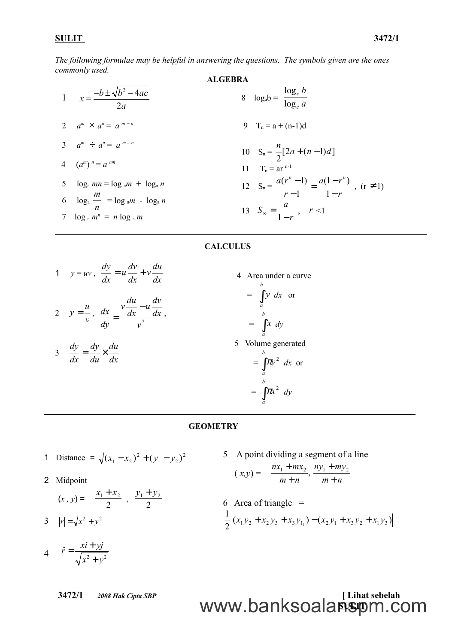*The following formulae may be helpful in answering the questions. The symbols given are the ones commonly used.*

ALGEBRA  
\n1 
$$
x = \frac{-b \pm \sqrt{b^2 - 4ac}}{2a}
$$
  
\n2  $a^m \times a^n = a^{m+n}$   
\n3  $a^m \div a^n = a^{m-n}$   
\n4  $(a^m)^n = a^{nm}$   
\n5  $\log_a mn = \log_a m + \log_a n$   
\n6  $\log_a \frac{m}{n} = \log_a m - \log_a n$   
\n7  $\log_a m^n = n \log_a m$   
\n8  $\log_a b = \frac{\log_c b}{\log_c a}$   
\n9  $T_n = a + (n-1)d$   
\n10  $S_n = \frac{n}{2}[2a + (n-1)d]$   
\n11  $T_n = ar^{n-1}$   
\n12  $S_n = \frac{a(r^n - 1)}{r - 1} = \frac{a(1 - r^n)}{1 - r}$ , (r \ne 1)

### **CALCULUS**

| 1 $y = uv$ , $\frac{dy}{dx} = u \frac{dv}{dx} + v \frac{du}{dx}$                        | 4 Area under a curve                             |
|-----------------------------------------------------------------------------------------|--------------------------------------------------|
| 2 $y = \frac{u}{v}$ , $\frac{dx}{dv} = \frac{v \frac{du}{dx} - u \frac{dv}{dx}}{v^2}$ , | $=\int_{a}^{b} y \, dx$ or<br>$=\int_a^b x \ dy$ |
| 3 $\frac{dy}{dx} = \frac{dy}{du} \times \frac{du}{dx}$                                  | 5 Volume generated<br>$=\int_a^b \pi y^2 dx$ or  |
|                                                                                         | $=\int \pi x^2 dy$                               |

### **GEOMETRY**

1 Distance = 
$$
\sqrt{(x_1 - x_2)^2 + (y_1 - y_2)^2}
$$

2 Midpoint

$$
(x, y) = \left(\frac{x_1 + x_2}{2}, \frac{y_1 + y_2}{2}\right)
$$
  
3  $|r| = \sqrt{x^2 + y^2}$ 

 $\hat{r} = \frac{xi + yj}{\sqrt{x^2 + y^2}}$  $x^2 + y^2$  $=\frac{xi+}{}$ +

5 A point dividing a segment of a line  $(x,y) = \frac{mx_1 + mx_2}{n}$ l ſ + +  $m + n$  $nx_1 + mx$   $\overline{1}$  $\lambda$ + +  $m + n$  $ny_1 + my_2$ 

6 Area of triangle =  
\n
$$
\frac{1}{2}[(x_1y_2 + x_2y_3 + x_3y_1) - (x_2y_1 + x_3y_2 + x_1y_3)
$$

**3472/1** *2008 Hak Cipta SBP* **[ Lihat sebelah** www.banksoalanspm.com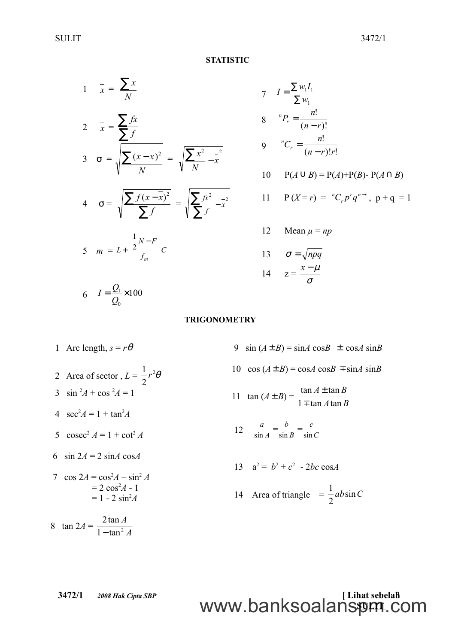### **STATISTIC**

$$
1 \quad \bar{x} = \frac{\sum x}{N}
$$

$$
2 \quad \bar{x} = \frac{\sum fx}{\sum f}
$$

$$
3 \quad \sigma = \sqrt{\frac{\sum (x - \bar{x})^2}{N}} = \sqrt{\frac{\sum x^2 - \bar{x}^2}{N}}
$$

$$
4 \quad \sigma = \sqrt{\frac{\sum f(x - \bar{x})^2}{\sum f}} = \sqrt{\frac{\sum f x^2}{\sum f} - \bar{x}^2}
$$

$$
5 \quad m = L + \left[ \frac{\frac{1}{2} N - F}{f_m} \right] C
$$

$$
6 \quad I = \frac{Q_1}{Q_0} \times 100
$$

$$
7 \quad \bar{I} = \frac{\sum w_{1}I_{1}}{\sum w_{1}}
$$
  
\n8 \quad {}^{n}P\_{r} = \frac{n!}{(n-r)!}   
\n9 \quad {}^{n}C\_{r} = \frac{n!}{(n-r)!r!}   
\n10 \quad P(A \cup B) = P(A)+P(B)-P(A \cap B)   
\n11 \quad P(X=r) = {}^{n}C\_{r}p^{r}q^{n-r}, p+q = 1   
\n12 \quad Mean \mu = np   
\n13 \quad \sigma = \sqrt{npq}

14 
$$
z = \frac{x - \mu}{\sigma}
$$

## **TRIGONOMETRY**

- 
- 2 Area of sector,  $L = \frac{1}{2}r^2$ 2  $r^2\theta$
- 3  $\sin^2 A + \cos^2 A = 1$
- 4  $\sec^2 A = 1 + \tan^2 A$
- 5  $\csc^2 A = 1 + \cot^2 A$
- 6  $\sin 2A = 2 \sin A \cos A$

1 Arc length, 
$$
s = r\theta
$$
  
\n2 Area of sector,  $L = \frac{1}{2}r^2\theta$   
\n3 sin<sup>2</sup>A + cos<sup>2</sup>A = 1  
\n4 sec<sup>2</sup>A = 1 + tan<sup>2</sup>A  
\n5 cosec<sup>2</sup>A = 1 + cot<sup>2</sup>A  
\n6 sin 2A = 2 sinA cosA  
\n7 cos 2A = cos<sup>2</sup>A - sin<sup>2</sup>A  
\n8 tan 2A =  $\frac{2 \tan A}{1 - \tan^2 A}$   
\n9 sin (A±B) = cosA cosB ≠ sinA sinB  
\n10 cos (A±B) = cosA cosB ≠ sinA sinB  
\n11 tan (A±B) =  $\frac{\tan A \pm \tan B}{1 \mp \tan A \tan B}$   
\n12  $\frac{a}{\sin A} = \frac{b}{\sin B} = \frac{c}{\sin C}$   
\n13  $a^2 = b^2 + c^2$  - 2bc cosA  
\n13  $a^2 = b^2 + c^2$  - 2bc cosA  
\n14 Area of triangle =  $\frac{1}{2}ab\sin C$   
\n8 tan 2A =  $\frac{2 \tan A}{1 - \tan^2 A}$   
\n15 sin A ± tan B  
\n16 sin B =  $\frac{c}{\sin A}$   
\n17 sin A ± tan B  
\n18 sin B =  $\frac{c}{\sin A}$   
\n19 sin A± tan B  
\n11 tan (A± B) =  $\frac{\tan A \pm \tan B}{1 \mp \tan A \tan B}$   
\n11 tan (A± B) =  $\frac{\tan A \pm \tan B}{1 \mp \tan A \tan B}$   
\n12 sin A =  $\frac{a}{\sin A} = \frac{b}{\sin C}$   
\n13  $a^2 = b^2 + c^2$  - 2bc cosA  
\n14 Area of triangle =  $\frac{1}{2}ab\sin C$   
\n15 sin A ± tan B  
\n16 sin B =  $\frac{c}{\sin C}$   
\n17 sin A ± tan B  
\n18 sin B =  $\frac{c}{\sin C}$   
\n19 sin (A± B) = cosA cosB ≠ cosA sinB

8 tan  $2A =$ *A A*  $1 - \tan^2$ 2tan −

9  $\sin(A \pm B) = \sin A \cos B \pm \cos A \sin B$ 

10  $\cos(A \pm B) = \cos A \cos B \mp \sin A \sin B$ 

11 
$$
\tan(A \pm B) = \frac{\tan A \pm \tan B}{1 \mp \tan A \tan B}
$$

12 
$$
\frac{a}{\sin A} = \frac{b}{\sin B} = \frac{c}{\sin C}
$$

13 
$$
a^2 = b^2 + c^2 - 2bc \cos A
$$

14 Area of triangle 
$$
=\frac{1}{2}ab\sin C
$$

**3472/1** *2008 Hak Cipta SBP* **[ Lihat sebelah SULIT**  www.banksoalanspm.com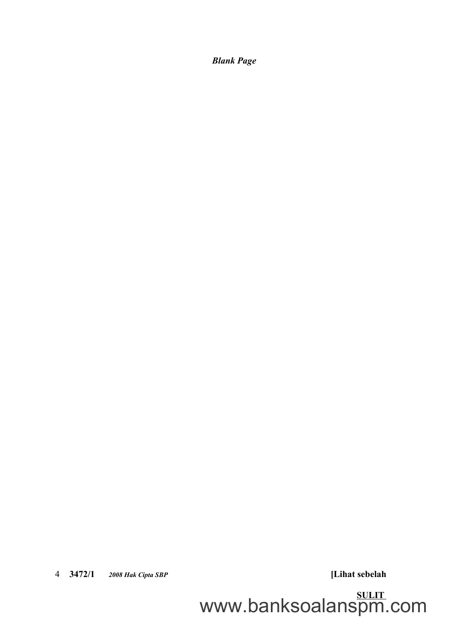*Blank Page*

**3472/1** *2008 Hak Cipta SBP* **[Lihat sebelah** 4

**SULIT**  www.banksoalanspm.com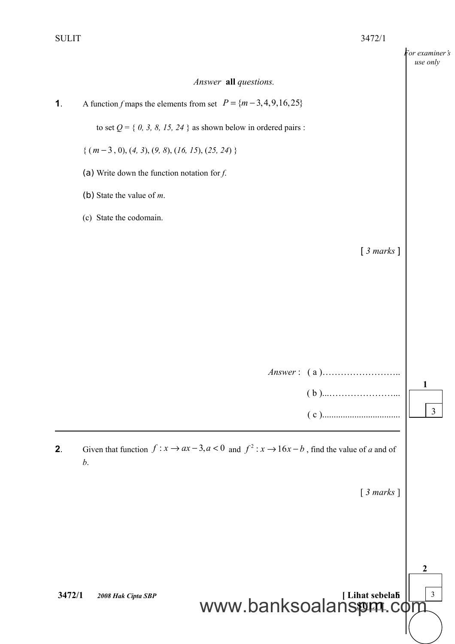| use only                           |                                                                                                        |               |
|------------------------------------|--------------------------------------------------------------------------------------------------------|---------------|
|                                    | Answer all questions.                                                                                  |               |
|                                    | A function f maps the elements from set $P = \{m-3, 4, 9, 16, 25\}$                                    | $\mathbf 1$ . |
|                                    | to set $Q = \{ 0, 3, 8, 15, 24 \}$ as shown below in ordered pairs :                                   |               |
|                                    | $\{(m-3, 0), (4, 3), (9, 8), (16, 15), (25, 24)\}\$                                                    |               |
|                                    | (a) Write down the function notation for $f$ .                                                         |               |
|                                    | (b) State the value of $m$ .                                                                           |               |
|                                    | (c) State the codomain.                                                                                |               |
|                                    | [3 marks]                                                                                              |               |
|                                    |                                                                                                        |               |
| 3                                  |                                                                                                        |               |
|                                    | Given that function $f: x \to ax-3, a < 0$ and $f^2: x \to 16x - b$ , find the value of a and of<br>b. | 2.            |
|                                    | [3 marks]                                                                                              |               |
|                                    |                                                                                                        |               |
| $\boldsymbol{2}$<br>$\mathfrak{Z}$ | Www.banksoalanspm.com<br>2008 Hak Cipta SBP                                                            | 3472/1        |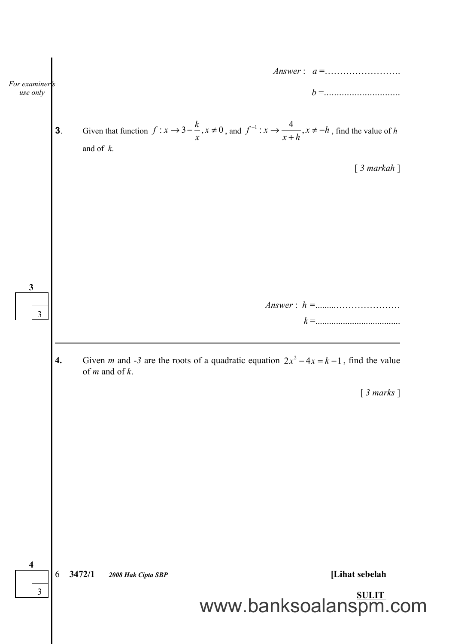| For examiner's<br>use only |                                                                                                                                                         |
|----------------------------|---------------------------------------------------------------------------------------------------------------------------------------------------------|
|                            | Given that function $f: x \to 3 - \frac{k}{x}$ , $x \ne 0$ , and $f^{-1}: x \to \frac{4}{x+h}$ , $x \ne -h$ , find the value of h<br>3.<br>and of $k$ . |
|                            | $[3$ markah]                                                                                                                                            |
|                            |                                                                                                                                                         |
| $\mathbf{3}$<br>3          |                                                                                                                                                         |
|                            | Given <i>m</i> and -3 are the roots of a quadratic equation $2x^2 - 4x = k - 1$ , find the value<br>4.<br>of $m$ and of $k$ .                           |
|                            | [3 marks]                                                                                                                                               |
|                            |                                                                                                                                                         |
|                            |                                                                                                                                                         |
| $\overline{\mathbf{4}}$    |                                                                                                                                                         |
| $\overline{3}$             | [Lihat sebelah<br>6<br>3472/1<br>2008 Hak Cipta SBP                                                                                                     |
|                            | www.banksoalanspm.com                                                                                                                                   |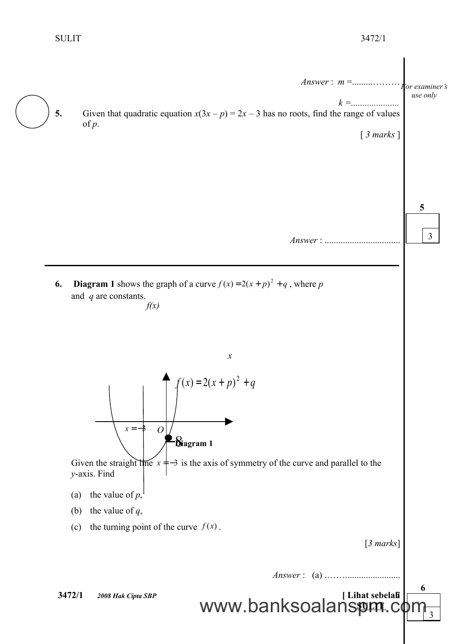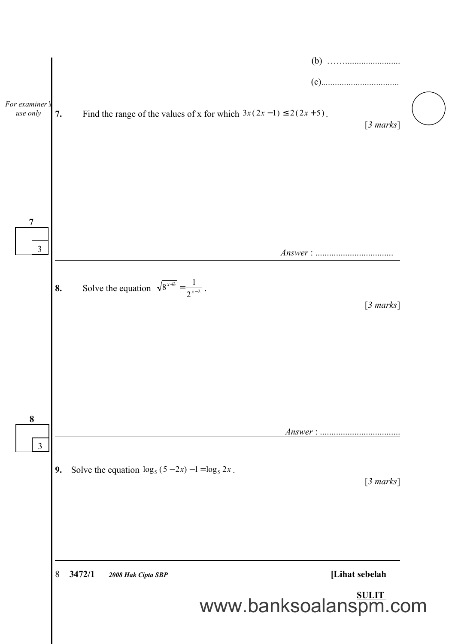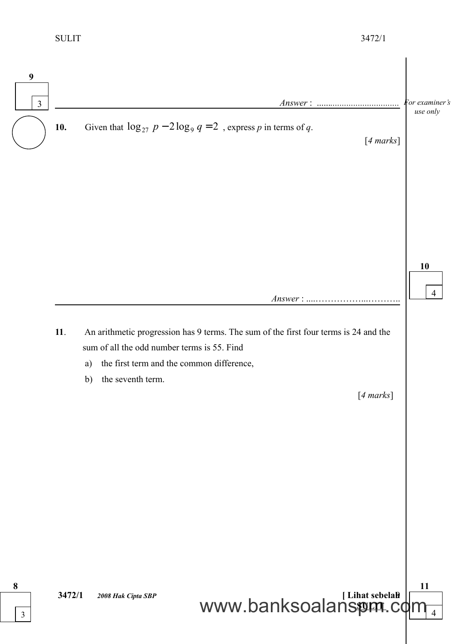|                     | <b>SULIT</b> | 3472/1                                                                                                                                                                                                                                                  |                                         |
|---------------------|--------------|---------------------------------------------------------------------------------------------------------------------------------------------------------------------------------------------------------------------------------------------------------|-----------------------------------------|
| 9<br>3              | 10.          | Given that $\log_{27} p - 2 \log_9 q = 2$ , express p in terms of q.<br>[4 marks]                                                                                                                                                                       | <sup>7</sup> or examiner 's<br>use only |
|                     | 11.          | $Answer: \dots \dots$<br>An arithmetic progression has 9 terms. The sum of the first four terms is 24 and the<br>sum of all the odd number terms is 55. Find<br>the first term and the common difference,<br>a)<br>b)<br>the seventh term.<br>[4 marks] | 10<br>4                                 |
| 8<br>$\mathfrak{Z}$ | 3472/1       | Www.banksoalanspm.com<br>2008 Hak Cipta SBP                                                                                                                                                                                                             | 11<br>$\overline{4}$                    |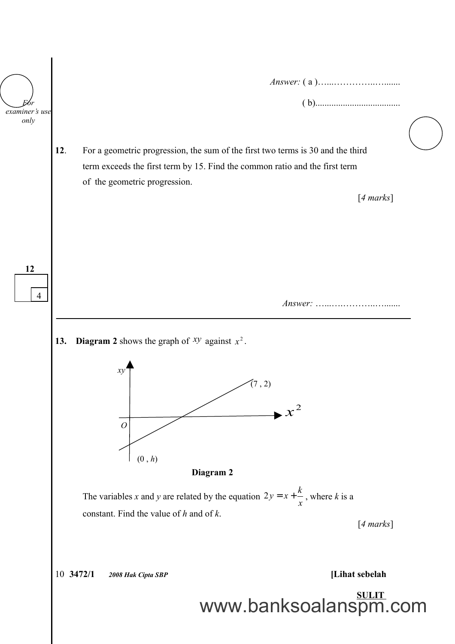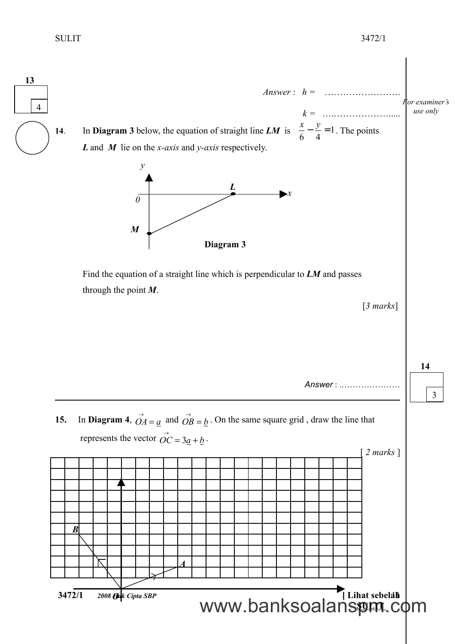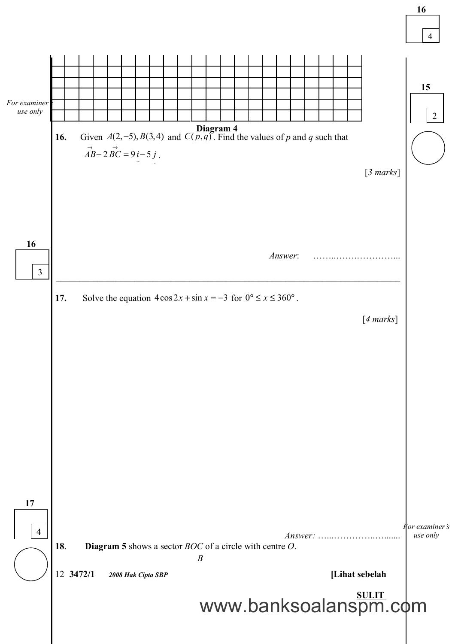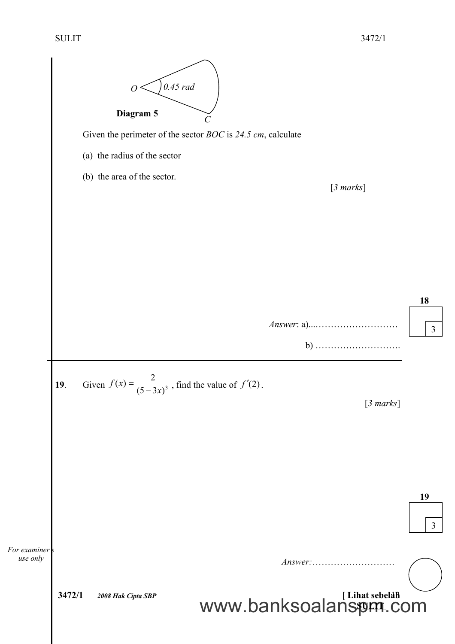

(a) the radius of the sector

*O*

**Diagram 5**

(b) the area of the sector.

[*3 marks*]



**18**

*Answer*: a)...………………………

b) ……………………….



[*3 marks*]



 $\mathcal{L}_\mathcal{L} = \mathcal{L}_\mathcal{L} = \mathcal{L}_\mathcal{L} = \mathcal{L}_\mathcal{L} = \mathcal{L}_\mathcal{L} = \mathcal{L}_\mathcal{L} = \mathcal{L}_\mathcal{L} = \mathcal{L}_\mathcal{L} = \mathcal{L}_\mathcal{L} = \mathcal{L}_\mathcal{L} = \mathcal{L}_\mathcal{L} = \mathcal{L}_\mathcal{L} = \mathcal{L}_\mathcal{L} = \mathcal{L}_\mathcal{L} = \mathcal{L}_\mathcal{L} = \mathcal{L}_\mathcal{L} = \mathcal{L}_\mathcal{L}$ 

*C*

*0.45 rad*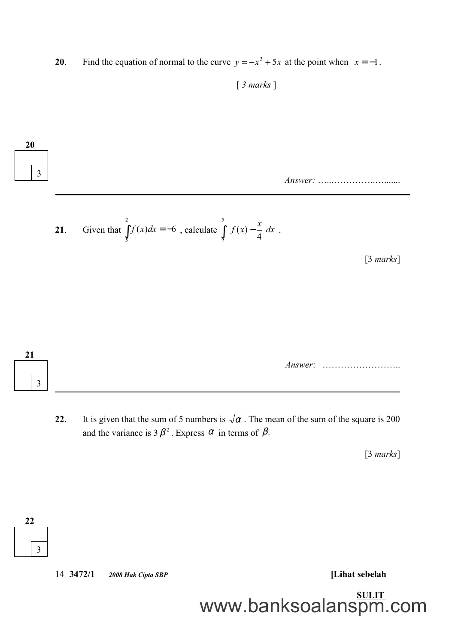**20**. Find the equation of normal to the curve  $y = -x^3 + 5x$  at the point when  $x = -1$ .

 $\mathcal{L}_\mathcal{L} = \mathcal{L}_\mathcal{L} = \mathcal{L}_\mathcal{L} = \mathcal{L}_\mathcal{L} = \mathcal{L}_\mathcal{L} = \mathcal{L}_\mathcal{L} = \mathcal{L}_\mathcal{L} = \mathcal{L}_\mathcal{L} = \mathcal{L}_\mathcal{L} = \mathcal{L}_\mathcal{L} = \mathcal{L}_\mathcal{L} = \mathcal{L}_\mathcal{L} = \mathcal{L}_\mathcal{L} = \mathcal{L}_\mathcal{L} = \mathcal{L}_\mathcal{L} = \mathcal{L}_\mathcal{L} = \mathcal{L}_\mathcal{L}$ 

[ *3 marks* ]



 *Answer:* …...…………..….......

21. Given that 
$$
\int_{5}^{2} f(x)dx = -6
$$
, calculate  $\int_{2}^{5} \left[ f(x) - \frac{x}{4} \right] dx$ .

[3 *marks*]

*Answer*: ……………………..

**22**. It is given that the sum of 5 numbers is  $\sqrt{\alpha}$ . The mean of the sum of the square is 200 and the variance is  $3\beta^2$ . Express  $\alpha$  in terms of  $\beta$ .

[3 *marks*]



3

**21**

14 3472/1

**3472/1** *2008 Hak Cipta SBP* **[Lihat sebelah**

**SULIT**  www.banksoalanspm.com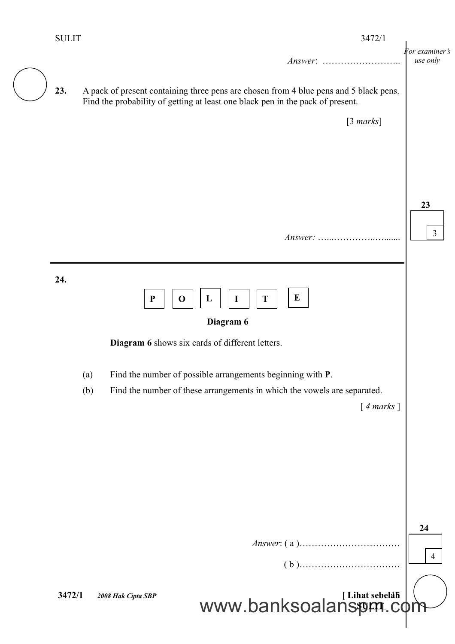| <b>SULIT</b> | 3472/1                                                                                                                                                                  |                             |
|--------------|-------------------------------------------------------------------------------------------------------------------------------------------------------------------------|-----------------------------|
|              | $Answer:$                                                                                                                                                               | 'or examiner 's<br>use only |
| 23.          | A pack of present containing three pens are chosen from 4 blue pens and 5 black pens.<br>Find the probability of getting at least one black pen in the pack of present. |                             |
|              | $[3 \text{ marks}]$                                                                                                                                                     |                             |
|              |                                                                                                                                                                         | 23                          |
|              | Answer:                                                                                                                                                                 | 3                           |
| 24.          | E<br>T<br>L<br>$\mathbf P$<br>I<br>$\mathbf 0$<br>Diagram 6                                                                                                             |                             |
|              | Diagram 6 shows six cards of different letters.                                                                                                                         |                             |
|              |                                                                                                                                                                         |                             |
|              | Find the number of possible arrangements beginning with P.<br>(a)<br>Find the number of these arrangements in which the vowels are separated.<br>(b)<br>[4 marks]       |                             |
|              |                                                                                                                                                                         |                             |
|              |                                                                                                                                                                         |                             |
|              |                                                                                                                                                                         | 24<br>$\overline{4}$        |
| 3472/1       | Www.banksoalanspm.com<br>2008 Hak Cipta SBP                                                                                                                             |                             |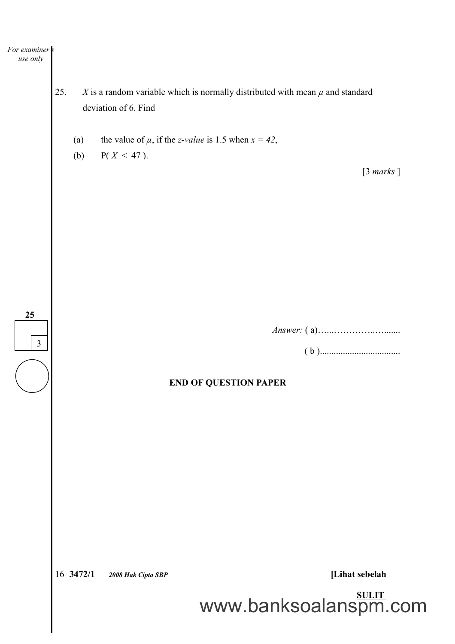